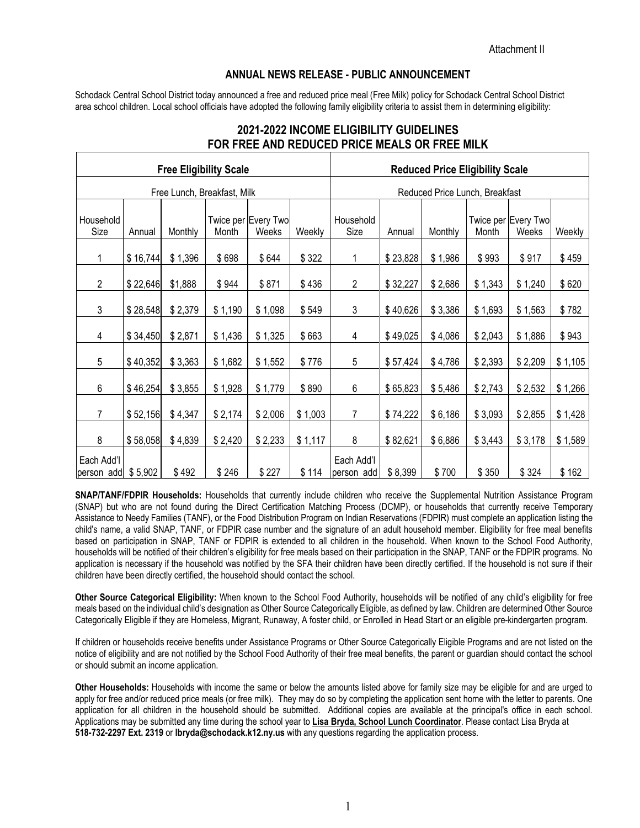## **ANNUAL NEWS RELEASE - PUBLIC ANNOUNCEMENT**

Schodack Central School District today announced a free and reduced price meal (Free Milk) policy for Schodack Central School District area school children. Local school officials have adopted the following family eligibility criteria to assist them in determining eligibility:

|                                  |          | <b>Free Eligibility Scale</b> |         | <b>Reduced Price Eligibility Scale</b> |         |                                |          |         |         |                              |         |
|----------------------------------|----------|-------------------------------|---------|----------------------------------------|---------|--------------------------------|----------|---------|---------|------------------------------|---------|
| Free Lunch, Breakfast, Milk      |          |                               |         |                                        |         | Reduced Price Lunch, Breakfast |          |         |         |                              |         |
| Household<br>Size                | Annual   | Monthly                       | Month   | Twice per Every Two<br>Weeks           | Weekly  | Household<br>Size              | Annual   | Monthly | Month   | Twice per Every Two<br>Weeks | Weekly  |
|                                  | \$16,744 | \$1,396                       | \$698   | \$644                                  | \$322   | 1                              | \$23,828 | \$1,986 | \$993   | \$917                        | \$459   |
| $\mathbf{2}$                     | \$22,646 | \$1,888                       | \$944   | \$871                                  | \$436   | $\overline{2}$                 | \$32,227 | \$2,686 | \$1,343 | \$1,240                      | \$620   |
| 3                                | \$28,548 | \$2,379                       | \$1,190 | \$1,098                                | \$549   | 3                              | \$40,626 | \$3,386 | \$1,693 | \$1,563                      | \$782   |
| 4                                | \$34,450 | \$2,871                       | \$1,436 | \$1,325                                | \$663   | 4                              | \$49,025 | \$4,086 | \$2,043 | \$1,886                      | \$943   |
| 5                                | \$40,352 | \$3,363                       | \$1,682 | \$1,552                                | \$776   | 5                              | \$57,424 | \$4,786 | \$2,393 | \$2,209                      | \$1,105 |
| $\,6\,$                          | \$46,254 | \$3,855                       | \$1,928 | \$1,779                                | \$890   | 6                              | \$65,823 | \$5,486 | \$2,743 | \$2,532                      | \$1,266 |
| $\overline{7}$                   | \$52,156 | \$4,347                       | \$2,174 | \$2,006                                | \$1,003 | 7                              | \$74,222 | \$6,186 | \$3,093 | \$2,855                      | \$1,428 |
| 8                                | \$58,058 | \$4,839                       | \$2,420 | \$2,233                                | \$1,117 | 8                              | \$82,621 | \$6,886 | \$3,443 | \$3,178                      | \$1,589 |
| Each Add'l<br>person add \$5,902 |          | \$492                         | \$246   | \$227                                  | \$114   | Each Add'l<br>person add       | \$8,399  | \$700   | \$350   | \$324                        | \$162   |

## **2021-2022 INCOME ELIGIBILITY GUIDELINES FOR FREE AND REDUCED PRICE MEALS OR FREE MILK**

**SNAP/TANF/FDPIR Households:** Households that currently include children who receive the Supplemental Nutrition Assistance Program (SNAP) but who are not found during the Direct Certification Matching Process (DCMP), or households that currently receive Temporary Assistance to Needy Families (TANF), or the Food Distribution Program on Indian Reservations (FDPIR) must complete an application listing the child's name, a valid SNAP, TANF, or FDPIR case number and the signature of an adult household member. Eligibility for free meal benefits based on participation in SNAP, TANF or FDPIR is extended to all children in the household. When known to the School Food Authority, households will be notified of their children's eligibility for free meals based on their participation in the SNAP, TANF or the FDPIR programs. No application is necessary if the household was notified by the SFA their children have been directly certified. If the household is not sure if their children have been directly certified, the household should contact the school.

**Other Source Categorical Eligibility:** When known to the School Food Authority, households will be notified of any child's eligibility for free meals based on the individual child's designation as Other Source Categorically Eligible, as defined by law. Children are determined Other Source Categorically Eligible if they are Homeless, Migrant, Runaway, A foster child, or Enrolled in Head Start or an eligible pre-kindergarten program.

If children or households receive benefits under Assistance Programs or Other Source Categorically Eligible Programs and are not listed on the notice of eligibility and are not notified by the School Food Authority of their free meal benefits, the parent or guardian should contact the school or should submit an income application.

**Other Households:** Households with income the same or below the amounts listed above for family size may be eligible for and are urged to apply for free and/or reduced price meals (or free milk). They may do so by completing the application sent home with the letter to parents. One application for all children in the household should be submitted. Additional copies are available at the principal's office in each school. Applications may be submitted any time during the school year to **Lisa Bryda, School Lunch Coordinator**. Please contact Lisa Bryda at **518-732-2297 Ext. 2319** or **lbryda@schodack.k12.ny.us** with any questions regarding the application process.